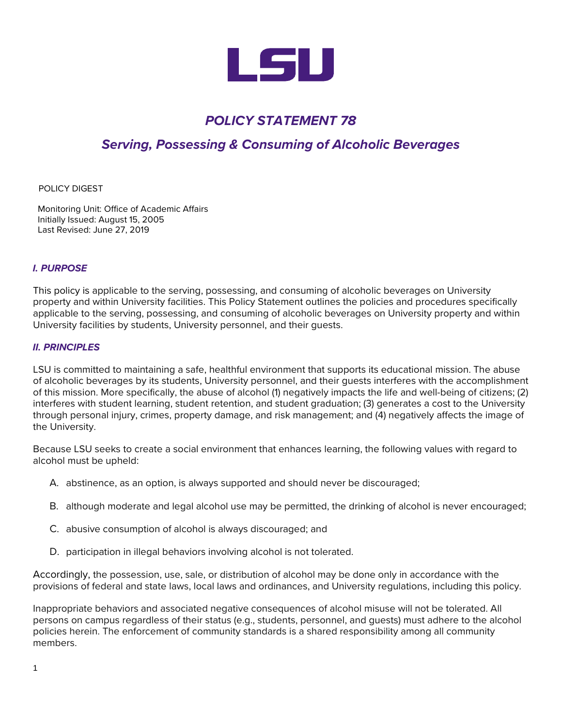

# *POLICY STATEMENT 78*

## *Serving, Possessing & Consuming of Alcoholic Beverages*

#### POLICY DIGEST

Monitoring Unit: Office of Academic Affairs Initially Issued: August 15, 2005 Last Revised: June 27, 2019

## *I. PURPOSE*

This policy is applicable to the serving, possessing, and consuming of alcoholic beverages on University property and within University facilities. This Policy Statement outlines the policies and procedures specifically applicable to the serving, possessing, and consuming of alcoholic beverages on University property and within University facilities by students, University personnel, and their guests.

### *II. PRINCIPLES*

LSU is committed to maintaining a safe, healthful environment that supports its educational mission. The abuse of alcoholic beverages by its students, University personnel, and their guests interferes with the accomplishment of this mission. More specifically, the abuse of alcohol (1) negatively impacts the life and well-being of citizens; (2) interferes with student learning, student retention, and student graduation; (3) generates a cost to the University through personal injury, crimes, property damage, and risk management; and (4) negatively affects the image of the University.

Because LSU seeks to create a social environment that enhances learning, the following values with regard to alcohol must be upheld:

- A. abstinence, as an option, is always supported and should never be discouraged;
- B. although moderate and legal alcohol use may be permitted, the drinking of alcohol is never encouraged;
- C. abusive consumption of alcohol is always discouraged; and
- D. participation in illegal behaviors involving alcohol is not tolerated.

Accordingly, the possession, use, sale, or distribution of alcohol may be done only in accordance with the provisions of federal and state laws, local laws and ordinances, and University regulations, including this policy.

Inappropriate behaviors and associated negative consequences of alcohol misuse will not be tolerated. All persons on campus regardless of their status (e.g., students, personnel, and guests) must adhere to the alcohol policies herein. The enforcement of community standards is a shared responsibility among all community members.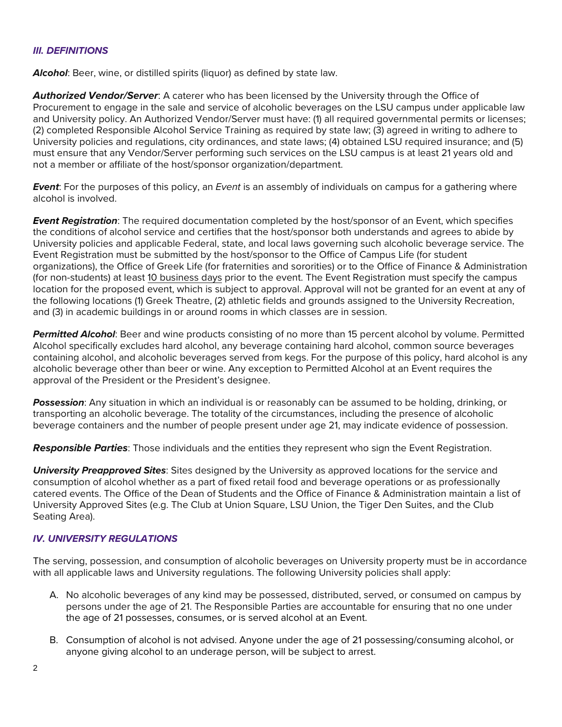### *III. DEFINITIONS*

**Alcohol:** Beer, wine, or distilled spirits (liquor) as defined by state law.

*Authorized Vendor/Server*: A caterer who has been licensed by the University through the Office of Procurement to engage in the sale and service of alcoholic beverages on the LSU campus under applicable law and University policy. An Authorized Vendor/Server must have: (1) all required governmental permits or licenses; (2) completed Responsible Alcohol Service Training as required by state law; (3) agreed in writing to adhere to University policies and regulations, city ordinances, and state laws; (4) obtained LSU required insurance; and (5) must ensure that any Vendor/Server performing such services on the LSU campus is at least 21 years old and not a member or affiliate of the host/sponsor organization/department.

*Event*: For the purposes of this policy, an *Event* is an assembly of individuals on campus for a gathering where alcohol is involved.

*Event Registration*: The required documentation completed by the host/sponsor of an Event, which specifies the conditions of alcohol service and certifies that the host/sponsor both understands and agrees to abide by University policies and applicable Federal, state, and local laws governing such alcoholic beverage service. The Event Registration must be submitted by the host/sponsor to the Office of Campus Life (for student organizations), the Office of Greek Life (for fraternities and sororities) or to the Office of Finance & Administration (for non-students) at least 10 business days prior to the event. The Event Registration must specify the campus location for the proposed event, which is subject to approval. Approval will not be granted for an event at any of the following locations (1) Greek Theatre, (2) athletic fields and grounds assigned to the University Recreation, and (3) in academic buildings in or around rooms in which classes are in session.

*Permitted Alcohol*: Beer and wine products consisting of no more than 15 percent alcohol by volume. Permitted Alcohol specifically excludes hard alcohol, any beverage containing hard alcohol, common source beverages containing alcohol, and alcoholic beverages served from kegs. For the purpose of this policy, hard alcohol is any alcoholic beverage other than beer or wine. Any exception to Permitted Alcohol at an Event requires the approval of the President or the President's designee.

*Possession*: Any situation in which an individual is or reasonably can be assumed to be holding, drinking, or transporting an alcoholic beverage. The totality of the circumstances, including the presence of alcoholic beverage containers and the number of people present under age 21, may indicate evidence of possession.

*Responsible Parties*: Those individuals and the entities they represent who sign the Event Registration.

*University Preapproved Sites*: Sites designed by the University as approved locations for the service and consumption of alcohol whether as a part of fixed retail food and beverage operations or as professionally catered events. The Office of the Dean of Students and the Office of Finance & Administration maintain a list of University Approved Sites (e.g. The Club at Union Square, LSU Union, the Tiger Den Suites, and the Club Seating Area).

### *IV. UNIVERSITY REGULATIONS*

The serving, possession, and consumption of alcoholic beverages on University property must be in accordance with all applicable laws and University regulations. The following University policies shall apply:

- A. No alcoholic beverages of any kind may be possessed, distributed, served, or consumed on campus by persons under the age of 21. The Responsible Parties are accountable for ensuring that no one under the age of 21 possesses, consumes, or is served alcohol at an Event.
- B. Consumption of alcohol is not advised. Anyone under the age of 21 possessing/consuming alcohol, or anyone giving alcohol to an underage person, will be subject to arrest.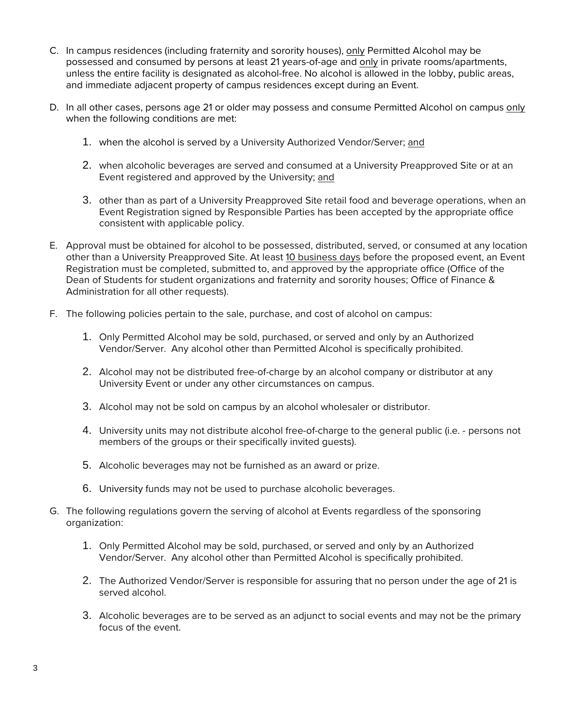- C. In campus residences (including fraternity and sorority houses), only Permitted Alcohol may be possessed and consumed by persons at least 21 years-of-age and only in private rooms/apartments, unless the entire facility is designated as alcohol-free. No alcohol is allowed in the lobby, public areas, and immediate adjacent property of campus residences except during an Event.
- D. In all other cases, persons age 21 or older may possess and consume Permitted Alcohol on campus only when the following conditions are met:
	- 1. when the alcohol is served by a University Authorized Vendor/Server; and
	- 2. when alcoholic beverages are served and consumed at a University Preapproved Site or at an Event registered and approved by the University; and
	- 3. other than as part of a University Preapproved Site retail food and beverage operations, when an Event Registration signed by Responsible Parties has been accepted by the appropriate office consistent with applicable policy.
- E. Approval must be obtained for alcohol to be possessed, distributed, served, or consumed at any location other than a University Preapproved Site. At least 10 business days before the proposed event, an Event Registration must be completed, submitted to, and approved by the appropriate office (Office of the Dean of Students for student organizations and fraternity and sorority houses; Office of Finance & Administration for all other requests).
- F. The following policies pertain to the sale, purchase, and cost of alcohol on campus:
	- 1. Only Permitted Alcohol may be sold, purchased, or served and only by an Authorized Vendor/Server. Any alcohol other than Permitted Alcohol is specifically prohibited.
	- 2. Alcohol may not be distributed free-of-charge by an alcohol company or distributor at any University Event or under any other circumstances on campus.
	- 3. Alcohol may not be sold on campus by an alcohol wholesaler or distributor.
	- 4. University units may not distribute alcohol free-of-charge to the general public (i.e. persons not members of the groups or their specifically invited guests).
	- 5. Alcoholic beverages may not be furnished as an award or prize.
	- 6. University funds may not be used to purchase alcoholic beverages.
- G. The following regulations govern the serving of alcohol at Events regardless of the sponsoring organization:
	- 1. Only Permitted Alcohol may be sold, purchased, or served and only by an Authorized Vendor/Server. Any alcohol other than Permitted Alcohol is specifically prohibited.
	- 2. The Authorized Vendor/Server is responsible for assuring that no person under the age of 21 is served alcohol.
	- 3. Alcoholic beverages are to be served as an adjunct to social events and may not be the primary focus of the event.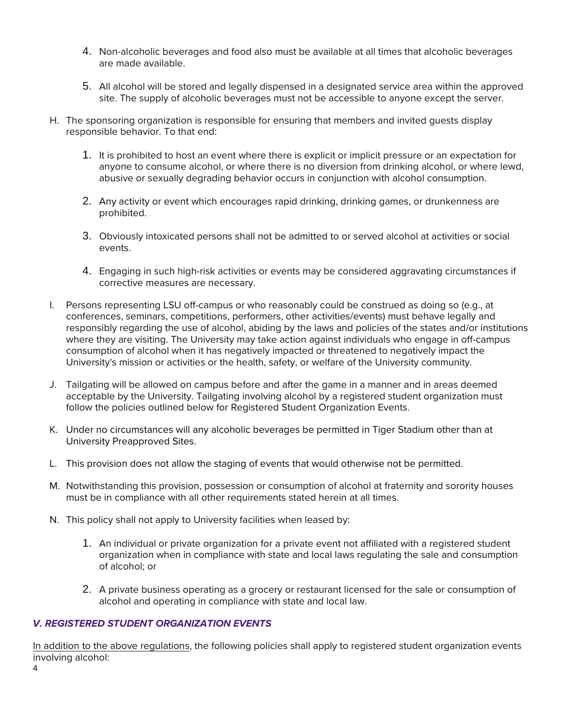- 4. Non-alcoholic beverages and food also must be available at all times that alcoholic beverages are made available.
- 5. All alcohol will be stored and legally dispensed in a designated service area within the approved site. The supply of alcoholic beverages must not be accessible to anyone except the server.
- H. The sponsoring organization is responsible for ensuring that members and invited guests display responsible behavior. To that end:
	- 1. It is prohibited to host an event where there is explicit or implicit pressure or an expectation for anyone to consume alcohol, or where there is no diversion from drinking alcohol, or where lewd, abusive or sexually degrading behavior occurs in conjunction with alcohol consumption.
	- 2. Any activity or event which encourages rapid drinking, drinking games, or drunkenness are prohibited.
	- 3. Obviously intoxicated persons shall not be admitted to or served alcohol at activities or social events.
	- 4. Engaging in such high-risk activities or events may be considered aggravating circumstances if corrective measures are necessary.
- I. Persons representing LSU off-campus or who reasonably could be construed as doing so (e.g., at conferences, seminars, competitions, performers, other activities/events) must behave legally and responsibly regarding the use of alcohol, abiding by the laws and policies of the states and/or institutions where they are visiting. The University may take action against individuals who engage in off-campus consumption of alcohol when it has negatively impacted or threatened to negatively impact the University's mission or activities or the health, safety, or welfare of the University community.
- J. Tailgating will be allowed on campus before and after the game in a manner and in areas deemed acceptable by the University. Tailgating involving alcohol by a registered student organization must follow the policies outlined below for Registered Student Organization Events.
- K. Under no circumstances will any alcoholic beverages be permitted in Tiger Stadium other than at University Preapproved Sites.
- L. This provision does not allow the staging of events that would otherwise not be permitted.
- M. Notwithstanding this provision, possession or consumption of alcohol at fraternity and sorority houses must be in compliance with all other requirements stated herein at all times.
- N. This policy shall not apply to University facilities when leased by:
	- 1. An individual or private organization for a private event not affiliated with a registered student organization when in compliance with state and local laws regulating the sale and consumption of alcohol; or
	- 2. A private business operating as a grocery or restaurant licensed for the sale or consumption of alcohol and operating in compliance with state and local law.

## *V. REGISTERED STUDENT ORGANIZATION EVENTS*

In addition to the above regulations, the following policies shall apply to registered student organization events involving alcohol: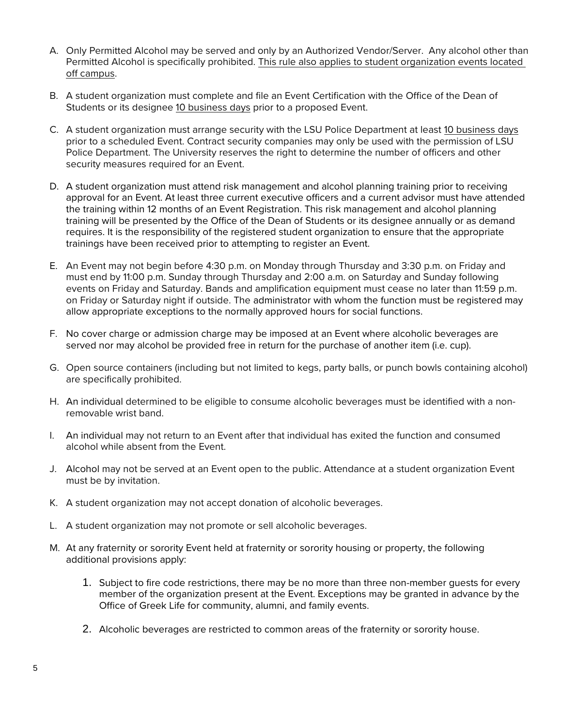- A. Only Permitted Alcohol may be served and only by an Authorized Vendor/Server. Any alcohol other than Permitted Alcohol is specifically prohibited. This rule also applies to student organization events located off campus.
- B. A student organization must complete and file an Event Certification with the Office of the Dean of Students or its designee 10 business days prior to a proposed Event.
- C. A student organization must arrange security with the LSU Police Department at least 10 business days prior to a scheduled Event. Contract security companies may only be used with the permission of LSU Police Department. The University reserves the right to determine the number of officers and other security measures required for an Event.
- D. A student organization must attend risk management and alcohol planning training prior to receiving approval for an Event. At least three current executive officers and a current advisor must have attended the training within 12 months of an Event Registration. This risk management and alcohol planning training will be presented by the Office of the Dean of Students or its designee annually or as demand requires. It is the responsibility of the registered student organization to ensure that the appropriate trainings have been received prior to attempting to register an Event.
- E. An Event may not begin before 4:30 p.m. on Monday through Thursday and 3:30 p.m. on Friday and must end by 11:00 p.m. Sunday through Thursday and 2:00 a.m. on Saturday and Sunday following events on Friday and Saturday. Bands and amplification equipment must cease no later than 11:59 p.m. on Friday or Saturday night if outside. The administrator with whom the function must be registered may allow appropriate exceptions to the normally approved hours for social functions.
- F. No cover charge or admission charge may be imposed at an Event where alcoholic beverages are served nor may alcohol be provided free in return for the purchase of another item (i.e. cup).
- G. Open source containers (including but not limited to kegs, party balls, or punch bowls containing alcohol) are specifically prohibited.
- H. An individual determined to be eligible to consume alcoholic beverages must be identified with a nonremovable wrist band.
- I. An individual may not return to an Event after that individual has exited the function and consumed alcohol while absent from the Event.
- J. Alcohol may not be served at an Event open to the public. Attendance at a student organization Event must be by invitation.
- K. A student organization may not accept donation of alcoholic beverages.
- L. A student organization may not promote or sell alcoholic beverages.
- M. At any fraternity or sorority Event held at fraternity or sorority housing or property, the following additional provisions apply:
	- 1. Subject to fire code restrictions, there may be no more than three non-member guests for every member of the organization present at the Event. Exceptions may be granted in advance by the Office of Greek Life for community, alumni, and family events.
	- 2. Alcoholic beverages are restricted to common areas of the fraternity or sorority house.